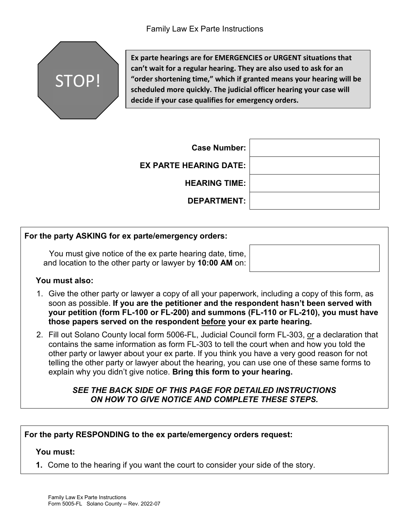

**Ex parte hearings are for EMERGENCIES or URGENT situations that can't wait for a regular hearing. They are also used to ask for an "order shortening time," which if granted means your hearing will be scheduled more quickly. The judicial officer hearing your case will decide if your case qualifies for emergency orders.** 

| <b>Case Number:</b>           |  |
|-------------------------------|--|
| <b>EX PARTE HEARING DATE:</b> |  |
| <b>HEARING TIME:</b>          |  |
| <b>DEPARTMENT:</b>            |  |

## **For the party ASKING for ex parte/emergency orders:**

You must give notice of the ex parte hearing date, time, and location to the other party or lawyer by **10:00 AM** on:

#### **You must also:**

- 1. Give the other party or lawyer a copy of all your paperwork, including a copy of this form, as soon as possible. **If you are the petitioner and the respondent hasn't been served with your petition (form FL-100 or FL-200) and summons (FL-110 or FL-210), you must have those papers served on the respondent before your ex parte hearing.**
- 2. Fill out Solano County local form 5006-FL, Judicial Council form FL-303, or a declaration that contains the same information as form FL-303 to tell the court when and how you told the other party or lawyer about your ex parte. If you think you have a very good reason for not telling the other party or lawyer about the hearing, you can use one of these same forms to explain why you didn't give notice. **Bring this form to your hearing.**

#### *SEE THE BACK SIDE OF THIS PAGE FOR DETAILED INSTRUCTIONS ON HOW TO GIVE NOTICE AND COMPLETE THESE STEPS.*

### **For the party RESPONDING to the ex parte/emergency orders request:**

#### **You must:**

**1.** Come to the hearing if you want the court to consider your side of the story.